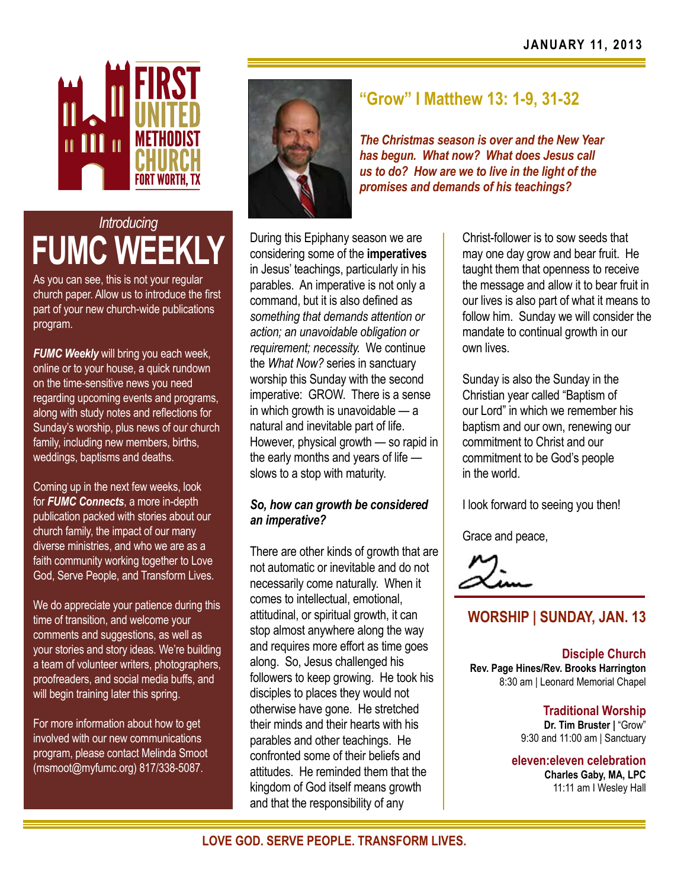

# *Introducing* **FUMC WEEKLY**

As you can see, this is not your regular church paper. Allow us to introduce the first part of your new church-wide publications program.

*FUMC Weekly* will bring you each week, online or to your house, a quick rundown on the time-sensitive news you need regarding upcoming events and programs, along with study notes and reflections for Sunday's worship, plus news of our church family, including new members, births, weddings, baptisms and deaths.

Coming up in the next few weeks, look for *FUMC Connects*, a more in-depth publication packed with stories about our church family, the impact of our many diverse ministries, and who we are as a faith community working together to Love God, Serve People, and Transform Lives.

We do appreciate your patience during this time of transition, and welcome your comments and suggestions, as well as your stories and story ideas. We're building a team of volunteer writers, photographers, proofreaders, and social media buffs, and will begin training later this spring.

For more information about how to get involved with our new communications program, please contact Melinda Smoot (msmoot@myfumc.org) 817/338-5087.



# **"Grow" I Matthew 13: 1-9, 31-32**

*The Christmas season is over and the New Year has begun. What now? What does Jesus call us to do? How are we to live in the light of the promises and demands of his teachings?* 

During this Epiphany season we are considering some of the **imperatives** in Jesus' teachings, particularly in his parables. An imperative is not only a command, but it is also defined as *something that demands attention or action; an unavoidable obligation or requirement; necessity.* We continue the *What Now?* series in sanctuary worship this Sunday with the second imperative: GROW. There is a sense in which growth is unavoidable — a natural and inevitable part of life. However, physical growth — so rapid in the early months and years of life slows to a stop with maturity.

### *So, how can growth be considered an imperative?*

There are other kinds of growth that are not automatic or inevitable and do not necessarily come naturally. When it comes to intellectual, emotional, attitudinal, or spiritual growth, it can stop almost anywhere along the way and requires more effort as time goes along. So, Jesus challenged his followers to keep growing. He took his disciples to places they would not otherwise have gone. He stretched their minds and their hearts with his parables and other teachings. He confronted some of their beliefs and attitudes. He reminded them that the kingdom of God itself means growth and that the responsibility of any

Christ-follower is to sow seeds that may one day grow and bear fruit. He taught them that openness to receive the message and allow it to bear fruit in our lives is also part of what it means to follow him. Sunday we will consider the mandate to continual growth in our own lives.

Sunday is also the Sunday in the Christian year called "Baptism of our Lord" in which we remember his baptism and our own, renewing our commitment to Christ and our commitment to be God's people in the world.

I look forward to seeing you then!

Grace and peace,

## **WORSHIP | SUNDAY, JAN. 13**

**Disciple Church Rev. Page Hines/Rev. Brooks Harrington** 8:30 am | Leonard Memorial Chapel

> **Traditional Worship Dr. Tim Bruster |** "Grow" 9:30 and 11:00 am | Sanctuary

**eleven:eleven celebration Charles Gaby, MA, LPC** 11:11 am I Wesley Hall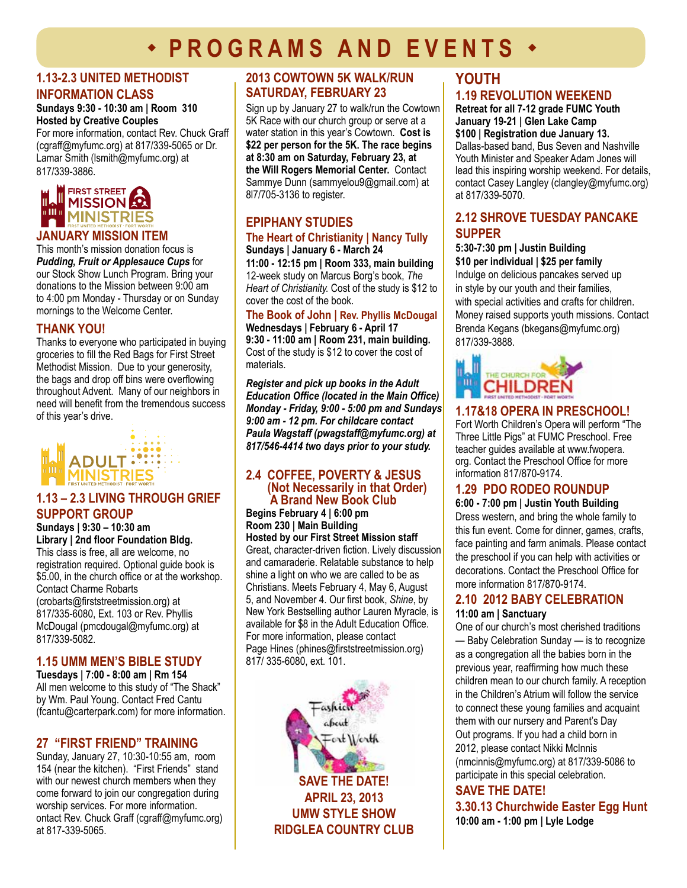# **· PROGRAMS AND EVENTS ·**

#### **1.13-2.3 UNITED METHODIST INFORMATION CLASS**

#### **Sundays 9:30 - 10:30 am | Room 310 Hosted by Creative Couples**

For more information, contact Rev. Chuck Graff (cgraff@myfumc.org) at 817/339-5065 or Dr. Lamar Smith (lsmith@myfumc.org) at 817/339-3886.



#### **january MISSION item**

This month's mission donation focus is *Pudding, Fruit or Applesauce Cups* for our Stock Show Lunch Program. Bring your donations to the Mission between 9:00 am to 4:00 pm Monday - Thursday or on Sunday mornings to the Welcome Center.

#### **THANK YOU!**

Thanks to everyone who participated in buying groceries to fill the Red Bags for First Street Methodist Mission. Due to your generosity, the bags and drop off bins were overflowing throughout Advent. Many of our neighbors in need will benefit from the tremendous success of this year's drive.



#### **1.13 – 2.3 LIVING THROUGH GRIEF SUPPORT GROUP**

#### **Sundays | 9:30 – 10:30 am Library | 2nd floor Foundation Bldg.**

This class is free, all are welcome, no registration required. Optional guide book is \$5.00, in the church office or at the workshop. Contact Charme Robarts (crobarts@firststreetmission.org) at 817/335-6080, Ext. 103 or Rev. Phyllis McDougal (pmcdougal@myfumc.org) at 817/339-5082.

#### **1.15 UMM men's bible study**

**Tuesdays | 7:00 - 8:00 am | Rm 154**  All men welcome to this study of "The Shack" by Wm. Paul Young. Contact Fred Cantu (fcantu@carterpark.com) for more information.

#### **27 "FIRST FRIEND" Training**

Sunday, January 27, 10:30-10:55 am, room 154 (near the kitchen). "First Friends" stand with our newest church members when they come forward to join our congregation during worship services. For more information. ontact Rev. Chuck Graff (cgraff@myfumc.org) at 817-339-5065.

#### **2013 Cowtown 5K Walk/Run Saturday, February 23**

Sign up by January 27 to walk/run the Cowtown 5K Race with our church group or serve at a water station in this year's Cowtown. **Cost is \$22 per person for the 5K. The race begins at 8:30 am on Saturday, February 23, at the Will Rogers Memorial Center.** Contact Sammye Dunn (sammyelou9@gmail.com) at 8l7/705-3136 to register.

## **EPIPHANY STUDIES**

#### **The Heart of Christianity | Nancy Tully Sundays | January 6 - March 24**

**11:00 - 12:15 pm | Room 333, main building**  12-week study on Marcus Borg's book, *The Heart of Christianity.* Cost of the study is \$12 to cover the cost of the book.

#### **The Book of John | Rev. Phyllis McDougal Wednesdays | February 6 - April 17 9:30 - 11:00 am | Room 231, main building.**

Cost of the study is \$12 to cover the cost of materials.

*Register and pick up books in the Adult Education Office (located in the Main Office) Monday - Friday, 9:00 - 5:00 pm and Sundays 9:00 am - 12 pm. For childcare contact Paula Wagstaff (pwagstaff@myfumc.org) at 817/546-4414 two days prior to your study.* 

#### **2.4 Coffee, Poverty & Jesus (Not Necessarily in that Order) A Brand New Book Club**

**Begins February 4 | 6:00 pm Room 230 | Main Building** 

**Hosted by our First Street Mission staff**  Great, character-driven fiction. Lively discussion and camaraderie. Relatable substance to help shine a light on who we are called to be as Christians. Meets February 4, May 6, August 5, and November 4. Our first book, *Shine*, by New York Bestselling author Lauren Myracle, is available for \$8 in the Adult Education Office. For more information, please contact Page Hines (phines@firststreetmission.org) 817/ 335-6080, ext. 101.



## **YOUTH 1.19 REVOLUTION WEEKEND**

#### **Retreat for all 7-12 grade FUMC Youth January 19-21 | Glen Lake Camp**

**\$100 | Registration due January 13.**  Dallas-based band, Bus Seven and Nashville Youth Minister and Speaker Adam Jones will lead this inspiring worship weekend. For details, contact Casey Langley (clangley@myfumc.org) at 817/339-5070.

#### **2.12 Shrove TUESDAY Pancake supper**

#### **5:30-7:30 pm | Justin Building \$10 per individual | \$25 per family**

Indulge on delicious pancakes served up in style by our youth and their families, with special activities and crafts for children. Money raised supports youth missions. Contact Brenda Kegans (bkegans@myfumc.org) 817/339-3888.



#### **1.17&18 opera in preschool!**

Fort Worth Children's Opera will perform "The Three Little Pigs" at FUMC Preschool. Free teacher guides available at www.fwopera. org. Contact the Preschool Office for more information 817/870-9174.

#### **1.29 PDO Rodeo Roundup**

**6:00 - 7:00 pm | Justin Youth Building** Dress western, and bring the whole family to this fun event. Come for dinner, games, crafts, face painting and farm animals. Please contact the preschool if you can help with activities or decorations. Contact the Preschool Office for more information 817/870-9174.

## **2.10 2012 Baby Celebration**

#### **11:00 am | Sanctuary**

One of our church's most cherished traditions — Baby Celebration Sunday — is to recognize as a congregation all the babies born in the previous year, reaffirming how much these children mean to our church family. A reception in the Children's Atrium will follow the service to connect these young families and acquaint them with our nursery and Parent's Day Out programs. If you had a child born in 2012, please contact Nikki McInnis (nmcinnis@myfumc.org) at 817/339-5086 to participate in this special celebration.

#### **save the date! 3.30.13 Churchwide Easter Egg Hunt 10:00 am - 1:00 pm | Lyle Lodge**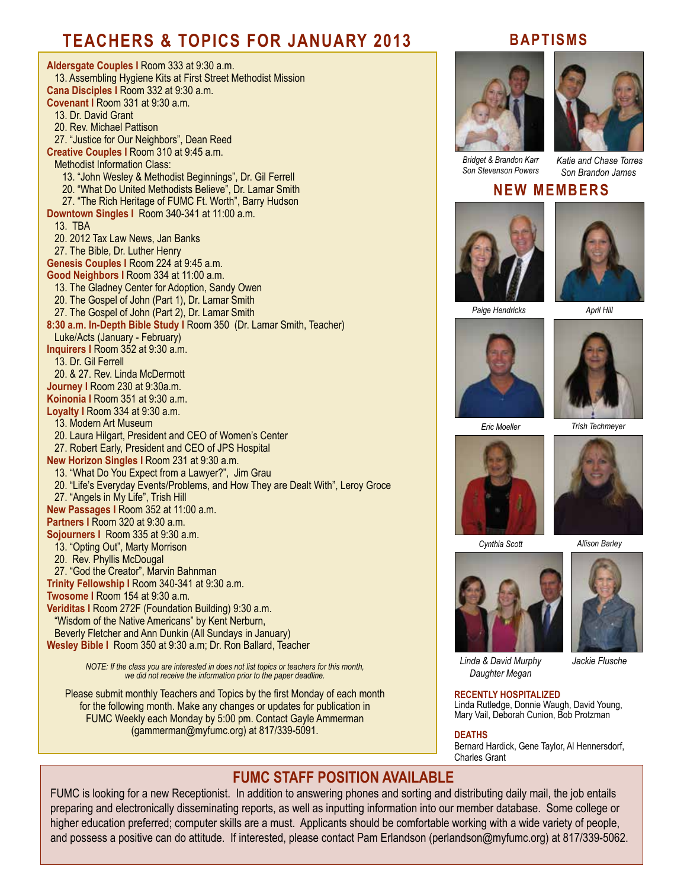# **TEACHERS & TOPICS FOR JANUARY 2013**

**Aldersgate Couples I** Room 333 at 9:30 a.m. 13. Assembling Hygiene Kits at First Street Methodist Mission **Cana Disciples I** Room 332 at 9:30 a.m. **Covenant I** Room 331 at 9:30 a.m. 13. Dr. David Grant 20. Rev. Michael Pattison 27. "Justice for Our Neighbors", Dean Reed **Creative Couples I** Room 310 at 9:45 a.m. Methodist Information Class: 13. "John Wesley & Methodist Beginnings", Dr. Gil Ferrell 20. "What Do United Methodists Believe", Dr. Lamar Smith 27. "The Rich Heritage of FUMC Ft. Worth", Barry Hudson **Downtown Singles I** Room 340-341 at 11:00 a.m. 13. TBA 20. 2012 Tax Law News, Jan Banks 27. The Bible, Dr. Luther Henry **Genesis Couples I** Room 224 at 9:45 a.m. **Good Neighbors I** Room 334 at 11:00 a.m. 13. The Gladney Center for Adoption, Sandy Owen 20. The Gospel of John (Part 1), Dr. Lamar Smith 27. The Gospel of John (Part 2), Dr. Lamar Smith **8:30 a.m. In-Depth Bible Study I** Room 350 (Dr. Lamar Smith, Teacher) Luke/Acts (January - February) **Inquirers I** Room 352 at 9:30 a.m. 13. Dr. Gil Ferrell 20. & 27. Rev. Linda McDermott **Journey I** Room 230 at 9:30a.m. **Koinonia I** Room 351 at 9:30 a.m. **Loyalty I** Room 334 at 9:30 a.m. 13. Modern Art Museum 20. Laura Hilgart, President and CEO of Women's Center 27. Robert Early, President and CEO of JPS Hospital **New Horizon Singles I** Room 231 at 9:30 a.m. 13. "What Do You Expect from a Lawyer?", Jim Grau 20. "Life's Everyday Events/Problems, and How They are Dealt With", Leroy Groce 27. "Angels in My Life", Trish Hill **New Passages I** Room 352 at 11:00 a.m. **Partners I** Room 320 at 9:30 a.m. **Sojourners I** Room 335 at 9:30 a.m. 13. "Opting Out", Marty Morrison 20. Rev. Phyllis McDougal 27. "God the Creator", Marvin Bahnman **Trinity Fellowship I** Room 340-341 at 9:30 a.m. **Twosome I** Room 154 at 9:30 a.m. **Veriditas I** Room 272F (Foundation Building) 9:30 a.m. "Wisdom of the Native Americans" by Kent Nerburn, Beverly Fletcher and Ann Dunkin (All Sundays in January) **Wesley Bible I** Room 350 at 9:30 a.m; Dr. Ron Ballard, Teacher *NOTE: If the class you are interested in does not list topics or teachers for this month, we did not receive the information prior to the paper deadline.* 

Please submit monthly Teachers and Topics by the first Monday of each month for the following month. Make any changes or updates for publication in FUMC Weekly each Monday by 5:00 pm. Contact Gayle Ammerman (gammerman@myfumc.org) at 817/339-5091.

### **BAPTISMS**





*Bridget & Brandon Karr Son Stevenson Powers*

 *Katie and Chase Torres Son Brandon James*

#### **NEW MEMBERS**





*Paige Hendricks April Hill*





*Eric Moeller*





*Cynthia Scott Allison Barley*





*Jackie Flusche*

*Linda & David Murphy Daughter Megan*

#### **RECENTLY HOSPITALIZED**

Linda Rutledge, Donnie Waugh, David Young, Mary Vail, Deborah Cunion, Bob Protzman

#### **DEATHS**

Bernard Hardick, Gene Taylor, Al Hennersdorf, Charles Grant

### **FUMC STAFF POSITION AVAILABLE**

FUMC is looking for a new Receptionist. In addition to answering phones and sorting and distributing daily mail, the job entails preparing and electronically disseminating reports, as well as inputting information into our member database. Some college or higher education preferred; computer skills are a must. Applicants should be comfortable working with a wide variety of people, and possess a positive can do attitude. If interested, please contact Pam Erlandson (perlandson@myfumc.org) at 817/339-5062.